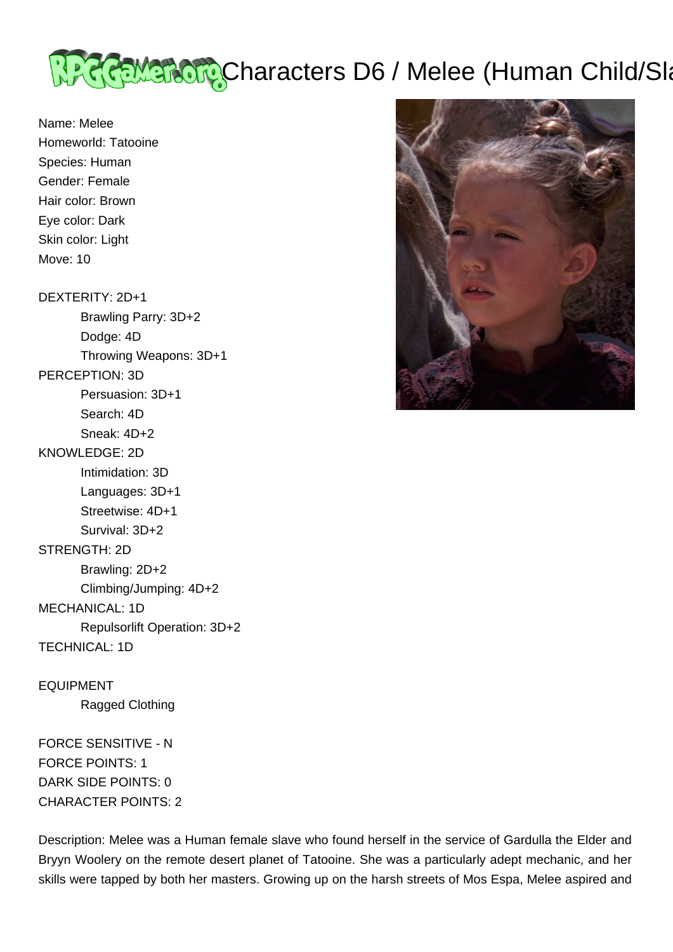

Name: Melee Homeworld: Tatooine Species: Human Gender: Female Hair color: Brown Eye color: Dark Skin color: Light Move: 10

DEXTERITY: 2D+1 Brawling Parry: 3D+2 Dodge: 4D Throwing Weapons: 3D+1 PERCEPTION: 3D Persuasion: 3D+1 Search: 4D Sneak: 4D+2 KNOWLEDGE: 2D Intimidation: 3D Languages: 3D+1 Streetwise: 4D+1 Survival: 3D+2 STRENGTH: 2D Brawling: 2D+2 Climbing/Jumping: 4D+2 MECHANICAL: 1D Repulsorlift Operation: 3D+2 TECHNICAL: 1D EQUIPMENT

Ragged Clothing

FORCE SENSITIVE - N FORCE POINTS: 1 DARK SIDE POINTS: 0 CHARACTER POINTS: 2

Description: Melee was a Human female slave who found herself in the service of Gardulla the Elder and Bryyn Woolery on the remote desert planet of Tatooine. She was a particularly adept mechanic, and her skills were tapped by both her masters. Growing up on the harsh streets of Mos Espa, Melee aspired and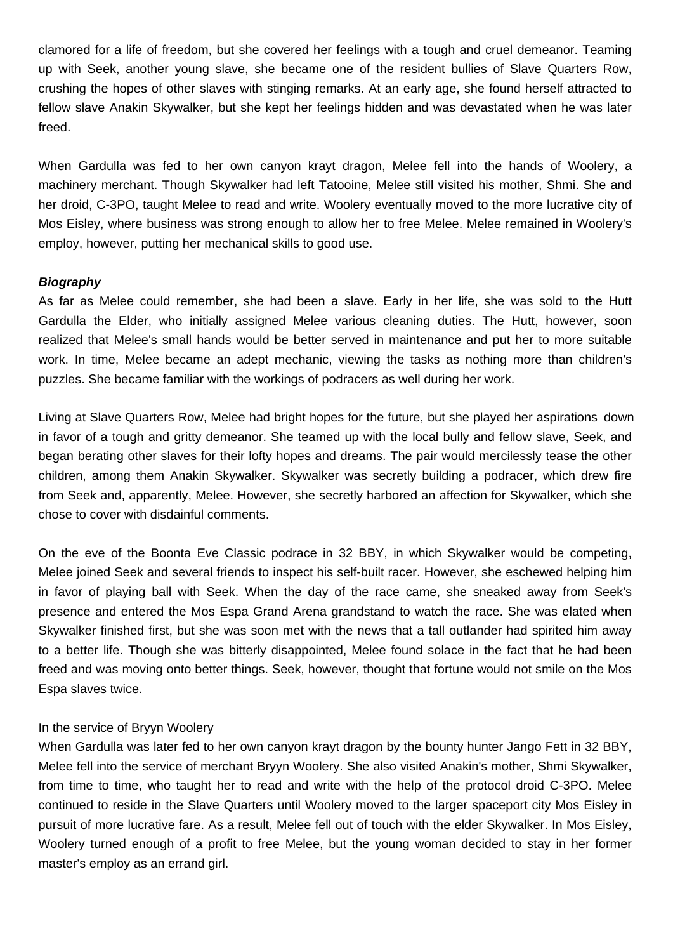clamored for a life of freedom, but she covered her feelings with a tough and cruel demeanor. Teaming up with Seek, another young slave, she became one of the resident bullies of Slave Quarters Row, crushing the hopes of other slaves with stinging remarks. At an early age, she found herself attracted to fellow slave Anakin Skywalker, but she kept her feelings hidden and was devastated when he was later freed.

When Gardulla was fed to her own canyon krayt dragon, Melee fell into the hands of Woolery, a machinery merchant. Though Skywalker had left Tatooine, Melee still visited his mother, Shmi. She and her droid, C-3PO, taught Melee to read and write. Woolery eventually moved to the more lucrative city of Mos Eisley, where business was strong enough to allow her to free Melee. Melee remained in Woolery's employ, however, putting her mechanical skills to good use.

## **Biography**

As far as Melee could remember, she had been a slave. Early in her life, she was sold to the Hutt Gardulla the Elder, who initially assigned Melee various cleaning duties. The Hutt, however, soon realized that Melee's small hands would be better served in maintenance and put her to more suitable work. In time, Melee became an adept mechanic, viewing the tasks as nothing more than children's puzzles. She became familiar with the workings of podracers as well during her work.

Living at Slave Quarters Row, Melee had bright hopes for the future, but she played her aspirations down in favor of a tough and gritty demeanor. She teamed up with the local bully and fellow slave, Seek, and began berating other slaves for their lofty hopes and dreams. The pair would mercilessly tease the other children, among them Anakin Skywalker. Skywalker was secretly building a podracer, which drew fire from Seek and, apparently, Melee. However, she secretly harbored an affection for Skywalker, which she chose to cover with disdainful comments.

On the eve of the Boonta Eve Classic podrace in 32 BBY, in which Skywalker would be competing, Melee joined Seek and several friends to inspect his self-built racer. However, she eschewed helping him in favor of playing ball with Seek. When the day of the race came, she sneaked away from Seek's presence and entered the Mos Espa Grand Arena grandstand to watch the race. She was elated when Skywalker finished first, but she was soon met with the news that a tall outlander had spirited him away to a better life. Though she was bitterly disappointed, Melee found solace in the fact that he had been freed and was moving onto better things. Seek, however, thought that fortune would not smile on the Mos Espa slaves twice.

## In the service of Bryyn Woolery

When Gardulla was later fed to her own canyon krayt dragon by the bounty hunter Jango Fett in 32 BBY, Melee fell into the service of merchant Bryyn Woolery. She also visited Anakin's mother, Shmi Skywalker, from time to time, who taught her to read and write with the help of the protocol droid C-3PO. Melee continued to reside in the Slave Quarters until Woolery moved to the larger spaceport city Mos Eisley in pursuit of more lucrative fare. As a result, Melee fell out of touch with the elder Skywalker. In Mos Eisley, Woolery turned enough of a profit to free Melee, but the young woman decided to stay in her former master's employ as an errand girl.